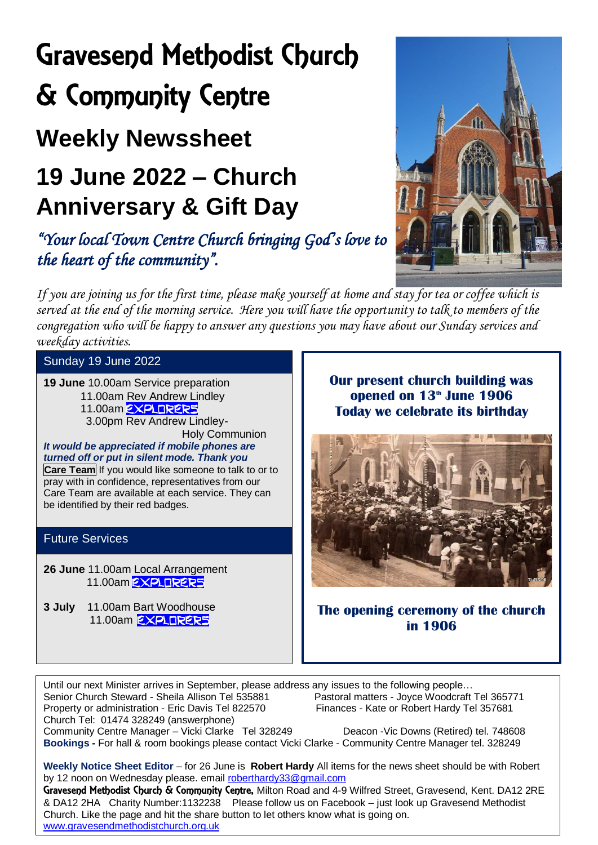# Gravesend Methodist Church & Community Centre

### **Weekly Newssheet**

### **19 June 2022 – Church Anniversary & Gift Day**

*"Your local Town Centre Church bringing God's love to the heart of the community".* 

*If you are joining us for the first time, please make yourself at home and stay for tea or coffee which is served at the end of the morning service. Here you will have the opportunity to talk to members of the congregation who will be happy to answer any questions you may have about our Sunday services and weekday activities.* 

Sunday 19 June 2022

**19 June** 10.00am Service preparation

- 11.00am Rev Andrew Lindley
- 11.00am **EXPLORERS**
- 3.00pm Rev Andrew Lindley- Holy Communion

*It would be appreciated if mobile phones are turned off or put in silent mode. Thank you* **Care Team** If you would like someone to talk to or to pray with in confidence, representatives from our

Care Team are available at each service. They can

### Future Services

**26 June** 11.00am Local Arrangement 11.00am **EXPLORER5** 

be identified by their red badges.

**3 July** 11.00am Bart Woodhouse 11.00am **EXPLORERS** 

**Our present church building was opened on 13th June 1906 Today we celebrate its birthday**



**The opening ceremony of the church in 1906**

Until our next Minister arrives in September, please address any issues to the following people...<br>Senior Church Steward - Sheila Allison Tel 535881 Pastoral matters - Joyce Woodcraft Tel 365771 Senior Church Steward - Sheila Allison Tel 535881 Pastoral matters - Joyce Woodcraft Tel 3657<br>Property or administration - Eric Davis Tel 822570 Finances - Kate or Robert Hardy Tel 357681 Property or administration - Eric Davis Tel 822570 Church Tel: 01474 328249 (answerphone) Community Centre Manager – Vicki Clarke Tel 328249 Deacon - Vic Downs (Retired) tel. 748608

**Bookings -** For hall & room bookings please contact Vicki Clarke - Community Centre Manager tel. 328249

**Weekly Notice Sheet Editor** – for 26 June is **Robert Hardy** All items for the news sheet should be with Robert by 12 noon on Wednesday please. emai[l roberthardy33@gmail.com](mailto:roberthardy33@gmail.com)

Gravesend Methodist Church & Community Centre, Milton Road and 4-9 Wilfred Street, Gravesend, Kent. DA12 2RE & DA12 2HA Charity Number:1132238 Please follow us on Facebook – just look up Gravesend Methodist Church. Like the page and hit the share button to let others know what is going on. [www.gravesendmethodistchurch.org.uk](http://www.gravesendmethodistchurch.org.uk/)